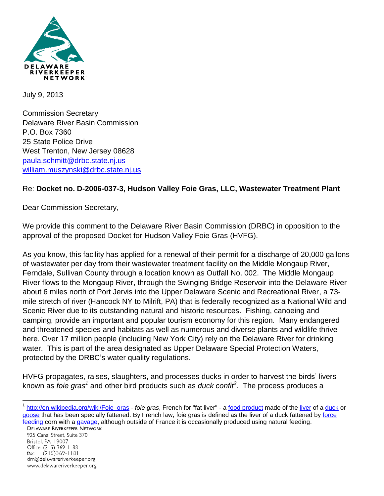

July 9, 2013

Commission Secretary Delaware River Basin Commission P.O. Box 7360 25 State Police Drive West Trenton, New Jersey 08628 [paula.schmitt@drbc.state.nj.us](mailto:paula.schmitt@drbc.state.nj.us) [william.muszynski@drbc.state.nj.us](mailto:william.muszynski@drbc.state.nj.us)

## Re: **Docket no. D-2006-037-3, Hudson Valley Foie Gras, LLC, Wastewater Treatment Plant**

Dear Commission Secretary,

We provide this comment to the Delaware River Basin Commission (DRBC) in opposition to the approval of the proposed Docket for Hudson Valley Foie Gras (HVFG).

As you know, this facility has applied for a renewal of their permit for a discharge of 20,000 gallons of wastewater per day from their wastewater treatment facility on the Middle Mongaup River, Ferndale, Sullivan County through a location known as Outfall No. 002. The Middle Mongaup River flows to the Mongaup River, through the Swinging Bridge Reservoir into the Delaware River about 6 miles north of Port Jervis into the Upper Delaware Scenic and Recreational River, a 73 mile stretch of river (Hancock NY to Milrift, PA) that is federally recognized as a National Wild and Scenic River due to its outstanding natural and historic resources. Fishing, canoeing and camping, provide an important and popular tourism economy for this region. Many endangered and threatened species and habitats as well as numerous and diverse plants and wildlife thrive here. Over 17 million people (including New York City) rely on the Delaware River for drinking water. This is part of the area designated as Upper Delaware Special Protection Waters, protected by the DRBC's water quality regulations.

HVFG propagates, raises, slaughters, and processes ducks in order to harvest the birds' livers known as *foie gras<sup>1</sup>* and other bird products such as *duck confit<sup>2</sup>.* The process produces a

925 Canal Street, Suite 3701 Bristol, PA 19007 Office: (215) 369-1188  $(215)369 - 1181$ fax: drn@delawareriverkeeper.org www.delawareriverkeeper.org

 $\overline{a}$ 

<sup>&</sup>lt;sup>1</sup> [http://en.wikipedia.org/wiki/Foie\\_gras](http://en.wikipedia.org/wiki/Foie_gras) - *foie gras*, French for "fat [liver](http://en.wikipedia.org/wiki/Liver)" - a <u>food product</u> made of the liver of a [duck](http://en.wikipedia.org/wiki/Domestic_duck) or [goose](http://en.wikipedia.org/wiki/Domestic_goose) that has been specially fattened. By French law, foie gras is defined as the liver of a duck fattened by [force](http://en.wikipedia.org/wiki/Force_feeding)  **[feeding](http://en.wikipedia.org/wiki/Force_feeding) corn with a [gavage,](http://en.wikipedia.org/wiki/Gavage) although outside of France it is occasionally produced using natural feeding.**<br>DELAWARE RIVERKEEPER NETWORK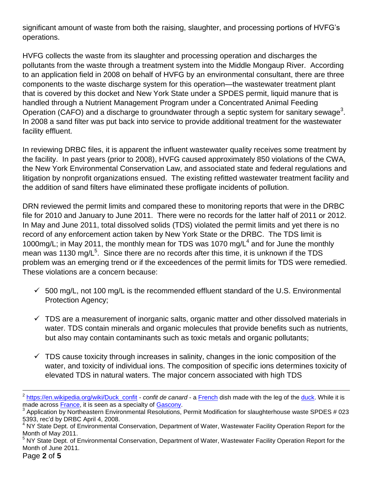significant amount of waste from both the raising, slaughter, and processing portions of HVFG's operations.

HVFG collects the waste from its slaughter and processing operation and discharges the pollutants from the waste through a treatment system into the Middle Mongaup River. According to an application field in 2008 on behalf of HVFG by an environmental consultant, there are three components to the waste discharge system for this operation—the wastewater treatment plant that is covered by this docket and New York State under a SPDES permit, liquid manure that is handled through a Nutrient Management Program under a Concentrated Animal Feeding Operation (CAFO) and a discharge to groundwater through a septic system for sanitary sewage<sup>3</sup>. In 2008 a sand filter was put back into service to provide additional treatment for the wastewater facility effluent.

In reviewing DRBC files, it is apparent the influent wastewater quality receives some treatment by the facility. In past years (prior to 2008), HVFG caused approximately 850 violations of the CWA, the New York Environmental Conservation Law, and associated state and federal regulations and litigation by nonprofit organizations ensued. The existing refitted wastewater treatment facility and the addition of sand filters have eliminated these profligate incidents of pollution.

DRN reviewed the permit limits and compared these to monitoring reports that were in the DRBC file for 2010 and January to June 2011. There were no records for the latter half of 2011 or 2012. In May and June 2011, total dissolved solids (TDS) violated the permit limits and yet there is no record of any enforcement action taken by New York State or the DRBC. The TDS limit is 1000mg/L; in May 2011, the monthly mean for TDS was 1070 mg/L<sup>4</sup> and for June the monthly mean was 1130 mg/L<sup>5</sup>. Since there are no records after this time, it is unknown if the TDS problem was an emerging trend or if the exceedences of the permit limits for TDS were remedied. These violations are a concern because:

- $\checkmark$  500 mg/L, not 100 mg/L is the recommended effluent standard of the U.S. Environmental Protection Agency;
- $\checkmark$  TDS are a measurement of inorganic salts, organic matter and other dissolved materials in water. TDS contain minerals and organic molecules that provide benefits such as nutrients, but also may contain contaminants such as toxic metals and organic pollutants;
- $\checkmark$  TDS cause toxicity through increases in salinity, changes in the ionic composition of the water, and toxicity of individual ions. The composition of specific ions determines toxicity of elevated TDS in natural waters. The major concern associated with high TDS

 $\overline{\phantom{a}}$ 

<sup>&</sup>lt;sup>2</sup> [https://en.wikipedia.org/wiki/Duck\\_confit](https://en.wikipedia.org/wiki/Duck_confit) - *confit de canard* - a [French](https://en.wikipedia.org/wiki/French_cuisine) dish made with the leg of the [duck.](https://en.wikipedia.org/wiki/Duck_%28food%29) While it is made across [France,](https://en.wikipedia.org/wiki/France) it is seen as a specialty of [Gascony.](https://en.wikipedia.org/wiki/Gascony)

<sup>&</sup>lt;sup>3</sup> Application by Northeastern Environmental Resolutions, Permit Modification for slaughterhouse waste SPDES # 023 5393, rec'd by DRBC April 4, 2008.

<sup>&</sup>lt;sup>4</sup> NY State Dept. of Environmental Conservation, Department of Water, Wastewater Facility Operation Report for the Month of May 2011.

<sup>&</sup>lt;sup>5</sup> NY State Dept. of Environmental Conservation, Department of Water, Wastewater Facility Operation Report for the Month of June 2011.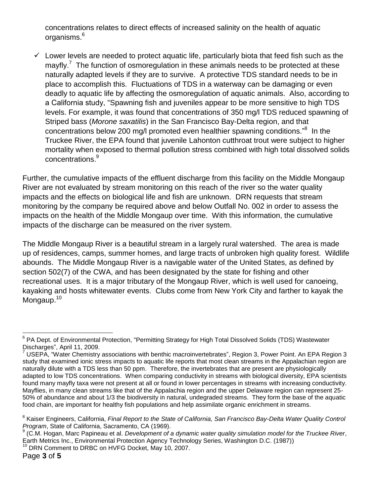concentrations relates to direct effects of increased salinity on the health of aquatic organisms.<sup>6</sup>

 $\checkmark$  Lower levels are needed to protect aquatic life, particularly biota that feed fish such as the mayfly.<sup>7</sup> The function of osmoregulation in these animals needs to be protected at these naturally adapted levels if they are to survive. A protective TDS standard needs to be in place to accomplish this. Fluctuations of TDS in a waterway can be damaging or even deadly to aquatic life by affecting the osmoregulation of aquatic animals. Also, according to a California study, "Spawning fish and juveniles appear to be more sensitive to high TDS levels. For example, it was found that concentrations of 350 mg/l TDS reduced spawning of Striped bass (*Morone saxatilis*) in the San Francisco Bay-Delta region, and that concentrations below 200 mg/l promoted even healthier spawning conditions."<sup>8</sup> In the Truckee River, the EPA found that juvenile Lahonton cutthroat trout were subject to higher mortality when exposed to thermal pollution stress combined with high total dissolved solids concentrations. 9

Further, the cumulative impacts of the effluent discharge from this facility on the Middle Mongaup River are not evaluated by stream monitoring on this reach of the river so the water quality impacts and the effects on biological life and fish are unknown. DRN requests that stream monitoring by the company be required above and below Outfall No. 002 in order to assess the impacts on the health of the Middle Mongaup over time. With this information, the cumulative impacts of the discharge can be measured on the river system.

The Middle Mongaup River is a beautiful stream in a largely rural watershed. The area is made up of residences, camps, summer homes, and large tracts of unbroken high quality forest. Wildlife abounds. The Middle Mongaup River is a navigable water of the United States, as defined by section 502(7) of the CWA, and has been designated by the state for fishing and other recreational uses. It is a major tributary of the Mongaup River, which is well used for canoeing, kayaking and hosts whitewater events. Clubs come from New York City and farther to kayak the Mongaup.<sup>10</sup>

 $\overline{a}$ <sup>6</sup> PA Dept. of Environmental Protection, "Permitting Strategy for High Total Dissolved Solids (TDS) Wastewater Discharges", April 11, 2009.

<sup>7</sup> USEPA, "Water Chemistry associations with benthic macroinvertebrates", Region 3, Power Point. An EPA Region 3 study that examined ionic stress impacts to aquatic life reports that most clean streams in the Appalachian region are naturally dilute with a TDS less than 50 ppm. Therefore, the invertebrates that are present are physiologically adapted to low TDS concentrations. When comparing conductivity in streams with biological diversity, EPA scientists found many mayfly taxa were not present at all or found in lower percentages in streams with increasing conductivity. Mayflies, in many clean streams like that of the Appalachia region and the upper Delaware region can represent 25- 50% of abundance and about 1/3 the biodiversity in natural, undegraded streams. They form the base of the aquatic food chain, are important for healthy fish populations and help assimilate organic enrichment in streams.

<sup>&</sup>lt;sup>8</sup> Kaiser Engineers, California, *Final Report to the State of California, San Francisco Bay-Delta Water Quality Control Program*, State of California, Sacramento, CA (1969).

<sup>9</sup> (C.M. Hogan, Marc Papineau et al. *Development of a dynamic water quality simulation model for the Truckee River*, Earth Metrics Inc., Environmental Protection Agency Technology Series, Washington D.C. (1987)) <sup>10</sup> DRN Comment to DRBC on HVFG Docket, May 10, 2007.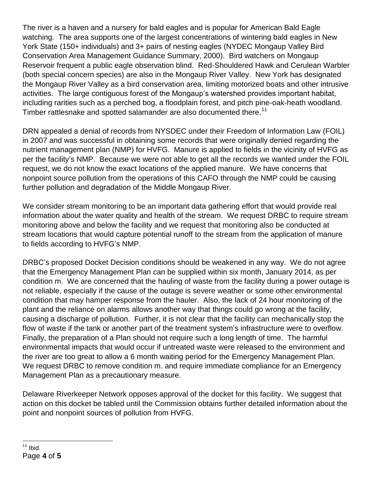The river is a haven and a nursery for bald eagles and is popular for American Bald Eagle watching. The area supports one of the largest concentrations of wintering bald eagles in New York State (150+ individuals) and 3+ pairs of nesting eagles (NYDEC Mongaup Valley Bird Conservation Area Management Guidance Summary, 2000). Bird watchers on Mongaup Reservoir frequent a public eagle observation blind. Red-Shouldered Hawk and Cerulean Warbler (both special concern species) are also in the Mongaup River Valley. New York has designated the Mongaup River Valley as a bird conservation area, limiting motorized boats and other intrusive activities. The large contiguous forest of the Mongaup's watershed provides important habitat, including rarities such as a perched bog, a floodplain forest, and pitch pine-oak-heath woodland. Timber rattlesnake and spotted salamander are also documented there.<sup>11</sup>

DRN appealed a denial of records from NYSDEC under their Freedom of Information Law (FOIL) in 2007 and was successful in obtaining some records that were originally denied regarding the nutrient management plan (NMP) for HVFG. Manure is applied to fields in the vicinity of HVFG as per the facility's NMP. Because we were not able to get all the records we wanted under the FOIL request, we do not know the exact locations of the applied manure. We have concerns that nonpoint source pollution from the operations of this CAFO through the NMP could be causing further pollution and degradation of the Middle Mongaup River.

We consider stream monitoring to be an important data gathering effort that would provide real information about the water quality and health of the stream. We request DRBC to require stream monitoring above and below the facility and we request that monitoring also be conducted at stream locations that would capture potential runoff to the stream from the application of manure to fields according to HVFG's NMP.

DRBC's proposed Docket Decision conditions should be weakened in any way. We do not agree that the Emergency Management Plan can be supplied within six month, January 2014, as per condition m. We are concerned that the hauling of waste from the facility during a power outage is not reliable, especially if the cause of the outage is severe weather or some other environmental condition that may hamper response from the hauler. Also, the lack of 24 hour monitoring of the plant and the reliance on alarms allows another way that things could go wrong at the facility, causing a discharge of pollution. Further, it is not clear that the facility can mechanically stop the flow of waste if the tank or another part of the treatment system's infrastructure were to overflow. Finally, the preparation of a Plan should not require such a long length of time. The harmful environmental impacts that would occur if untreated waste were released to the environment and the river are too great to allow a 6 month waiting period for the Emergency Management Plan. We request DRBC to remove condition m. and require immediate compliance for an Emergency Management Plan as a precautionary measure.

Delaware Riverkeeper Network opposes approval of the docket for this facility. We suggest that action on this docket be tabled until the Commission obtains further detailed information about the point and nonpoint sources of pollution from HVFG.

 $\overline{a}$ 

Page **4** of **5**  $11$  Ibid.